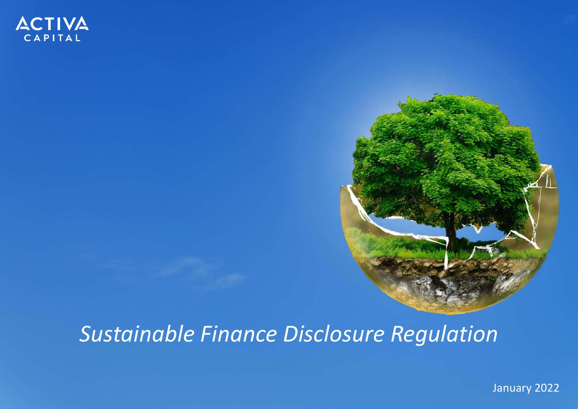

# *Sustainable Finance Disclosure Regulation*

January 2022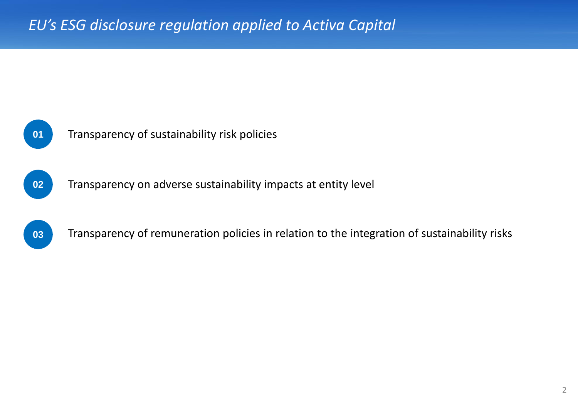



**02** Transparency on adverse sustainability impacts at entity level



Transparency of remuneration policies in relation to the integration of sustainability risks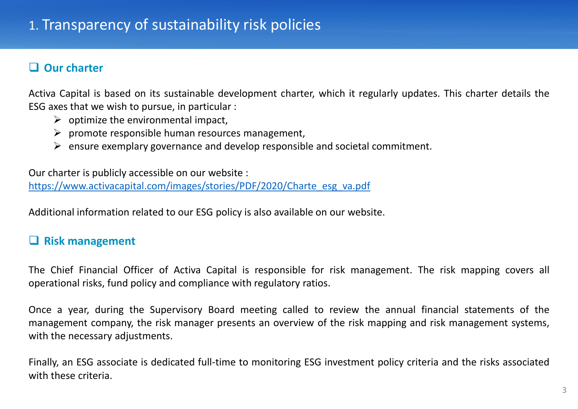## ❑ **Our charter**

Activa Capital is based on its sustainable development charter, which it regularly updates. This charter details the ESG axes that we wish to pursue, in particular :

- $\triangleright$  optimize the environmental impact,
- $\triangleright$  promote responsible human resources management,
- $\triangleright$  ensure exemplary governance and develop responsible and societal commitment.

Our charter is publicly accessible on our website : [https://www.activacapital.com/images/stories/PDF/2020/Charte\\_esg\\_va.pdf](https://www.activacapital.com/images/stories/PDF/2020/Charte_esg_va.pdf)

Additional information related to our ESG policy is also available on our website.

## ❑ **Risk management**

The Chief Financial Officer of Activa Capital is responsible for risk management. The risk mapping covers all operational risks, fund policy and compliance with regulatory ratios.

Once a year, during the Supervisory Board meeting called to review the annual financial statements of the management company, the risk manager presents an overview of the risk mapping and risk management systems, with the necessary adjustments.

Finally, an ESG associate is dedicated full-time to monitoring ESG investment policy criteria and the risks associated with these criteria.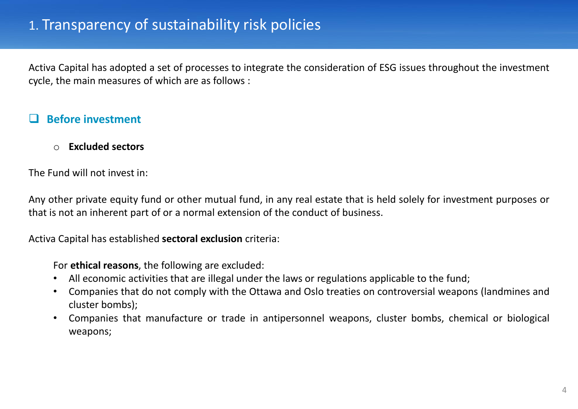Activa Capital has adopted a set of processes to integrate the consideration of ESG issues throughout the investment cycle, the main measures of which are as follows :

## ❑ **Before investment**

o **Excluded sectors**

The Fund will not invest in:

Any other private equity fund or other mutual fund, in any real estate that is held solely for investment purposes or that is not an inherent part of or a normal extension of the conduct of business.

Activa Capital has established **sectoral exclusion** criteria:

For **ethical reasons**, the following are excluded:

- All economic activities that are illegal under the laws or regulations applicable to the fund;
- Companies that do not comply with the Ottawa and Oslo treaties on controversial weapons (landmines and cluster bombs);
- Companies that manufacture or trade in antipersonnel weapons, cluster bombs, chemical or biological weapons;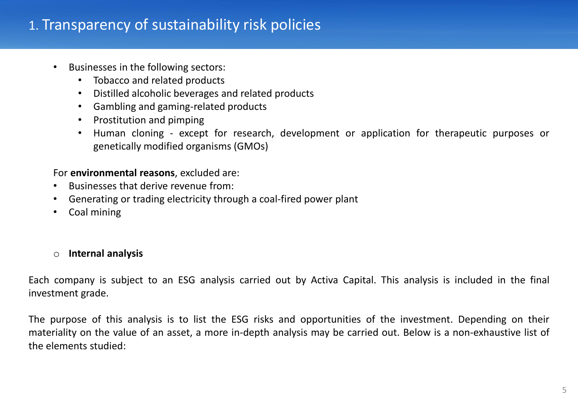- Businesses in the following sectors:
	- Tobacco and related products
	- Distilled alcoholic beverages and related products
	- Gambling and gaming-related products
	- Prostitution and pimping
	- Human cloning except for research, development or application for therapeutic purposes or genetically modified organisms (GMOs)

#### For **environmental reasons**, excluded are:

- Businesses that derive revenue from:
- Generating or trading electricity through a coal-fired power plant
- Coal mining

#### o **Internal analysis**

Each company is subject to an ESG analysis carried out by Activa Capital. This analysis is included in the final investment grade.

The purpose of this analysis is to list the ESG risks and opportunities of the investment. Depending on their materiality on the value of an asset, a more in-depth analysis may be carried out. Below is a non-exhaustive list of the elements studied: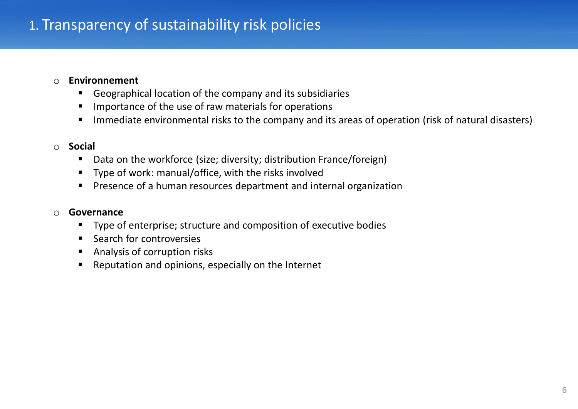#### o **Environnement**

- Geographical location of the company and its subsidiaries
- Importance of the use of raw materials for operations
- Immediate environmental risks to the company and its areas of operation (risk of natural disasters)

#### o **Social**

- Data on the workforce (size; diversity; distribution France/foreign)
- Type of work: manual/office, with the risks involved
- Presence of a human resources department and internal organization

#### o **Governance**

- Type of enterprise; structure and composition of executive bodies
- **Search for controversies**
- Analysis of corruption risks
- Reputation and opinions, especially on the Internet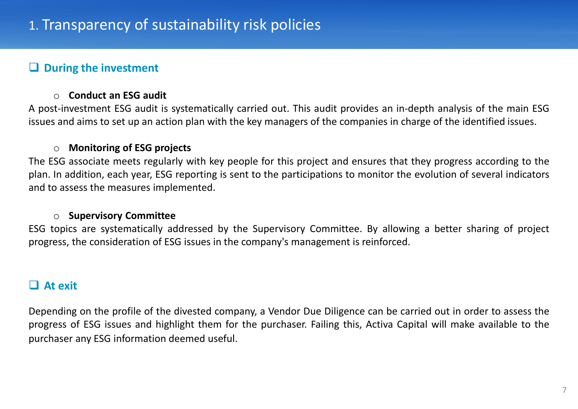## ❑ **During the investment**

#### o **Conduct an ESG audit**

A post-investment ESG audit is systematically carried out. This audit provides an in-depth analysis of the main ESG issues and aims to set up an action plan with the key managers of the companies in charge of the identified issues.

#### o **Monitoring of ESG projects**

The ESG associate meets regularly with key people for this project and ensures that they progress according to the plan. In addition, each year, ESG reporting is sent to the participations to monitor the evolution of several indicators and to assess the measures implemented.

#### o **Supervisory Committee**

ESG topics are systematically addressed by the Supervisory Committee. By allowing a better sharing of project progress, the consideration of ESG issues in the company's management is reinforced.

#### ❑ **At exit**

Depending on the profile of the divested company, a Vendor Due Diligence can be carried out in order to assess the progress of ESG issues and highlight them for the purchaser. Failing this, Activa Capital will make available to the purchaser any ESG information deemed useful.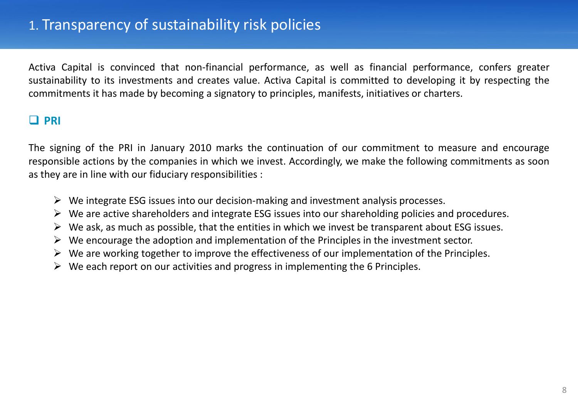Activa Capital is convinced that non-financial performance, as well as financial performance, confers greater sustainability to its investments and creates value. Activa Capital is committed to developing it by respecting the commitments it has made by becoming a signatory to principles, manifests, initiatives or charters.

## ❑ **PRI**

The signing of the PRI in January 2010 marks the continuation of our commitment to measure and encourage responsible actions by the companies in which we invest. Accordingly, we make the following commitments as soon as they are in line with our fiduciary responsibilities :

- $\triangleright$  We integrate ESG issues into our decision-making and investment analysis processes.
- $\triangleright$  We are active shareholders and integrate ESG issues into our shareholding policies and procedures.
- $\triangleright$  We ask, as much as possible, that the entities in which we invest be transparent about ESG issues.
- $\triangleright$  We encourage the adoption and implementation of the Principles in the investment sector.
- $\triangleright$  We are working together to improve the effectiveness of our implementation of the Principles.
- $\triangleright$  We each report on our activities and progress in implementing the 6 Principles.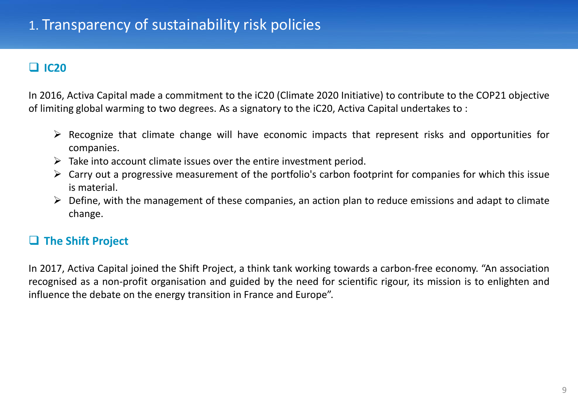# ❑ **IC20**

In 2016, Activa Capital made a commitment to the iC20 (Climate 2020 Initiative) to contribute to the COP21 objective of limiting global warming to two degrees. As a signatory to the iC20, Activa Capital undertakes to :

- $\triangleright$  Recognize that climate change will have economic impacts that represent risks and opportunities for companies.
- $\triangleright$  Take into account climate issues over the entire investment period.
- $\triangleright$  Carry out a progressive measurement of the portfolio's carbon footprint for companies for which this issue is material.
- $\triangleright$  Define, with the management of these companies, an action plan to reduce emissions and adapt to climate change.

# ❑ **The Shift Project**

In 2017, Activa Capital joined the Shift Project, a think tank working towards a carbon-free economy. "An association recognised as a non-profit organisation and guided by the need for scientific rigour, its mission is to enlighten and influence the debate on the energy transition in France and Europe".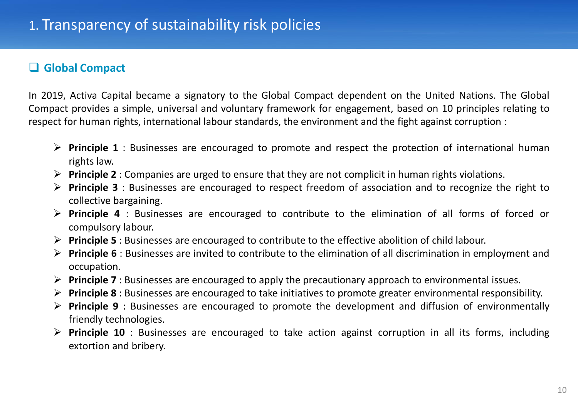## ❑ **Global Compact**

In 2019, Activa Capital became a signatory to the Global Compact dependent on the United Nations. The Global Compact provides a simple, universal and voluntary framework for engagement, based on 10 principles relating to respect for human rights, international labour standards, the environment and the fight against corruption :

- ➢ **Principle 1** : Businesses are encouraged to promote and respect the protection of international human rights law.
- ➢ **Principle 2** : Companies are urged to ensure that they are not complicit in human rights violations.
- ➢ **Principle 3** : Businesses are encouraged to respect freedom of association and to recognize the right to collective bargaining.
- ➢ **Principle 4** : Businesses are encouraged to contribute to the elimination of all forms of forced or compulsory labour.
- ➢ **Principle 5** : Businesses are encouraged to contribute to the effective abolition of child labour.
- ➢ **Principle 6** : Businesses are invited to contribute to the elimination of all discrimination in employment and occupation.
- ➢ **Principle 7** : Businesses are encouraged to apply the precautionary approach to environmental issues.
- ➢ **Principle 8** : Businesses are encouraged to take initiatives to promote greater environmental responsibility.
- ➢ **Principle 9** : Businesses are encouraged to promote the development and diffusion of environmentally friendly technologies.
- ➢ **Principle 10** : Businesses are encouraged to take action against corruption in all its forms, including extortion and bribery.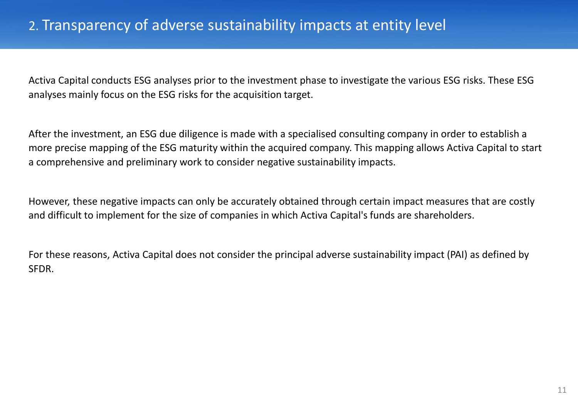Activa Capital conducts ESG analyses prior to the investment phase to investigate the various ESG risks. These ESG analyses mainly focus on the ESG risks for the acquisition target.

After the investment, an ESG due diligence is made with a specialised consulting company in order to establish a more precise mapping of the ESG maturity within the acquired company. This mapping allows Activa Capital to start a comprehensive and preliminary work to consider negative sustainability impacts.

However, these negative impacts can only be accurately obtained through certain impact measures that are costly and difficult to implement for the size of companies in which Activa Capital's funds are shareholders.

For these reasons, Activa Capital does not consider the principal adverse sustainability impact (PAI) as defined by SFDR.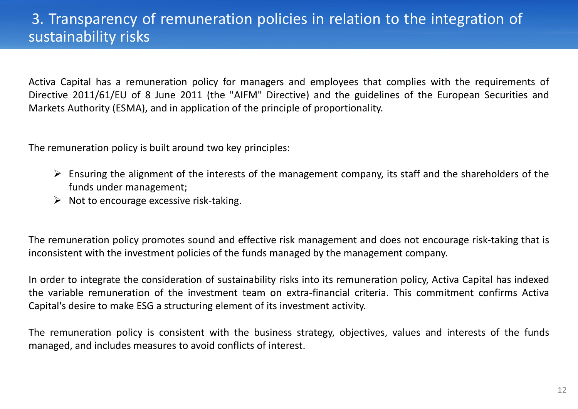# 3. Transparency of remuneration policies in relation to the integration of sustainability risks

Activa Capital has a remuneration policy for managers and employees that complies with the requirements of Directive 2011/61/EU of 8 June 2011 (the "AIFM" Directive) and the guidelines of the European Securities and Markets Authority (ESMA), and in application of the principle of proportionality.

The remuneration policy is built around two key principles:

- $\triangleright$  Ensuring the alignment of the interests of the management company, its staff and the shareholders of the funds under management;
- $\triangleright$  Not to encourage excessive risk-taking.

The remuneration policy promotes sound and effective risk management and does not encourage risk-taking that is inconsistent with the investment policies of the funds managed by the management company.

In order to integrate the consideration of sustainability risks into its remuneration policy, Activa Capital has indexed the variable remuneration of the investment team on extra-financial criteria. This commitment confirms Activa Capital's desire to make ESG a structuring element of its investment activity.

The remuneration policy is consistent with the business strategy, objectives, values and interests of the funds managed, and includes measures to avoid conflicts of interest.